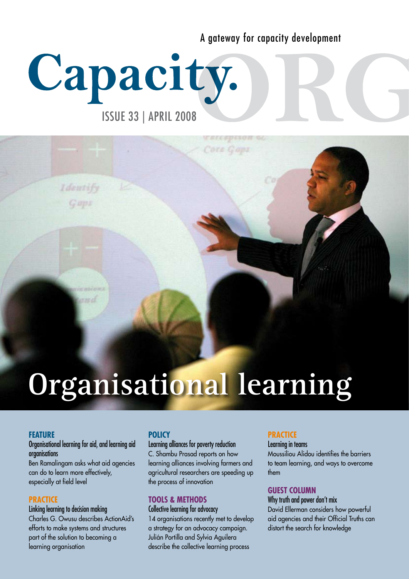A gateway for capacity development

# Capacity.

ISSUE 33 | APRIL 2008

# **Organisational learning**

# **FEATURE**

### Organisational learning for aid, and learning aid organisations

Identify

Ben Ramalingam asks what aid agencies can do to learn more effectively, especially at field level

# **PRACTICE**

#### Linking learning to decision making

Charles G. Owusu describes ActionAid's efforts to make systems and structures part of the solution to becoming a learning organisation

# **POLICY**

### Learning alliances for poverty reduction

C. Shambu Prasad reports on how learning alliances involving farmers and agricultural researchers are speeding up the process of innovation

# **TOOLS & METHODS**

### Collective learning for advocacy

14 organisations recently met to develop a strategy for an advocacy campaign. Julián Portilla and Sylvia Aguilera describe the collective learning process

# **PRACTICE**

Learning in teams

Moussiliou Alidou identifies the barriers to team learning, and ways to overcome them

# **GUEST COLUMN**

Why truth and power don't mix David Ellerman considers how powerful aid agencies and their Official Truths can distort the search for knowledge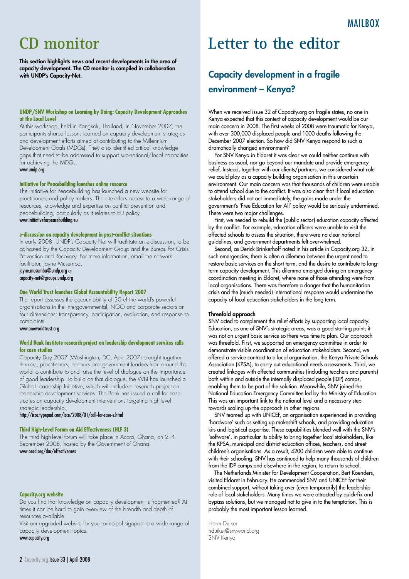# **CD monitor**

This section highlights news and recent developments in the area of capacity development. The CD monitor is compiled in collaboration with UNDP's Capacity-Net.

#### **UNDP/SNV Workshop on Learning by Doing: Capacity Development Approaches at the Local Level**

At this workshop, held in Bangkok, Thailand, in November 2007, the participants shared lessons learned on capacity development strategies and development efforts aimed at contributing to the Millennium Development Goals (MDGs). They also identified critical knowledge gaps that need to be addressed to support sub-national/local capacities for achieving the MDGs. www.undp.org

#### **Initiative for Peacebuilding launches online resource**

The Initiative for Peacebuilding has launched a new website for practitioners and policy makers. The site offers access to a wide range of resources, knowledge and expertise on conflict prevention and peacebuilding, particularly as it relates to EU policy. www.initiativeforpeacebuilding.eu

#### **e-discussion on capacity development in post-conflict situations**

In early 2008, UNDP's Capacity-Net will facilitate an e-discussion, to be co-hosted by the Capacity Development Group and the Bureau for Crisis Prevention and Recovery. For more information, email the network facilitator, Jayne Musumba,

jayne.musumba@undp.org or capacity-net@groups.undp.org

#### **One World Trust launches Global Accountability Report 2007**

The report assesses the accountability of 30 of the world's powerful organisations in the intergovernmental, NGO and corporate sectors on four dimensions: transparency, participation, evaluation, and response to complaints.

#### www.oneworldtrust.org

#### **World Bank Institute research project on leadership development services calls for case studies**

Capacity Day 2007 (Washington, DC, April 2007) brought together thinkers, practitioners, partners and government leaders from around the world to contribute to and raise the level of dialogue on the importance of good leadership. To build on that dialogue, the WBI has launched a Global Leadership Initiative, which will include a research project on leadership development services. The Bank has issued a call for case studies on capacity development interventions targeting high-level strategic leadership.

http://icce.typepad.com/icce/2008/01/call-for-case-s.html

#### **Third High-Level Forum on Aid Effectiveness (HLF 3)**

The third high-level forum will take place in Accra, Ghana, on 2–4 September 2008, hosted by the Government of Ghana. www.oecd.org/dac/effectiveness

#### **Capacity.org website**

Do you find that knowledge on capacity development is fragmented? At times it can be hard to gain overview of the breadth and depth of resources available.

Visit our upgraded website for your principal signpost to a wide range of capacity development topics.

#### www.capacity.org

# **Letter to the editor**

# Capacity development in a fragile environment – Kenya?

When we received issue 32 of Capacity.org on fragile states, no one in Kenya expected that this context of capacity development would be our main concern in 2008. The first weeks of 2008 were traumatic for Kenya, with over 300,000 displaced people and 1000 deaths following the December 2007 election. So how did SNV-Kenya respond to such a dramatically changed environment?

For SNV Kenya in Eldoret it was clear we could neither continue with business as usual, nor go beyond our mandate and provide emergency relief. Instead, together with our clients/partners, we considered what role we could play as a capacity building organisation in this uncertain environment. Our main concern was that thousands of children were unable to attend school due to the conflict. It was also clear that if local education stakeholders did not act immediately, the gains made under the government's 'Free Education for All' policy would be seriously undermined. There were two major challenges.

First, we needed to rebuild the (public sector) education capacity affected by the conflict. For example, education officers were unable to visit the affected schools to assess the situation, there were no clear national guidelines, and government departments felt overwhelmed.

Second, as Derick Brinkerhoff noted in his article in Capacity.org 32, in such emergencies, there is often a dilemma between the urgent need to restore basic services on the short term, and the desire to contribute to longterm capacity development. This dilemma emerged during an emergency coordination meeting in Eldoret, where none of those attending were from local organisations. There was therefore a danger that the humanitarian crisis and the (much needed) international response would undermine the capacity of local education stakeholders in the long term.

#### Threefold approach

SNV acted to complement the relief efforts by supporting local capacity. Education, as one of SNV's strategic areas, was a good starting point; it was not an urgent basic service so there was time to plan. Our approach was threefold. First, we supported an emergency committee in order to demonstrate visible coordination of education stakeholders. Second, we offered a service contract to a local organisation, the Kenya Private Schools Association (KPSA), to carry out educational needs assessments. Third, we created linkages with affected communities (including teachers and parents) both within and outside the internally displaced people (IDP) camps, enabling them to be part of the solution. Meanwhile, SNV joined the National Education Emergency Committee led by the Ministry of Education. This was an important link to the national level and a necessary step towards scaling up the approach in other regions.

SNV teamed up with UNICEF, an organisation experienced in providing 'hardware' such as setting up makeshift schools, and providing education kits and logistical expertise. These capabilities blended well with the SNV's 'software', in particular its ability to bring together local stakeholders, like the KPSA, municipal and district education offices, teachers, and street children's organisations. As a result, 4200 children were able to continue with their schooling. SNV has continued to help many thousands of children from the IDP camps and elsewhere in the region, to return to school.

The Netherlands Minister for Development Cooperation, Bert Koenders, visited Eldoret in February. He commended SNV and UNICEF for their combined support, without taking over (even temporarily) the leadership role of local stakeholders. Many times we were attracted by quick-fix and bypass solutions, but we managed not to give in to the temptation. This is probably the most important lesson learned.

Harm Duiker hduiker@snvworld.org SNV Kenya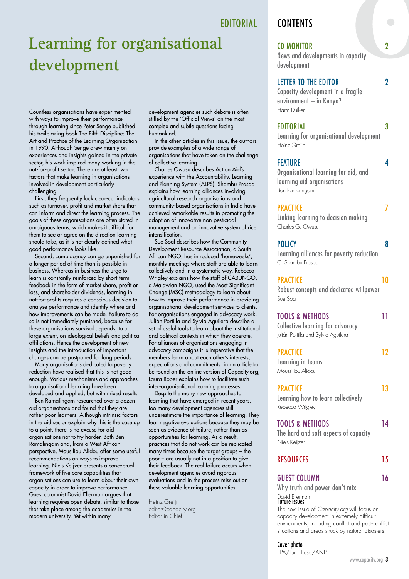EDITORIAL

# **Learning for organisational development**

Countless organisations have experimented with ways to improve their performance through learning since Peter Senge published his trailblazing book The Fifth Discipline: The Art and Practice of the Learning Organization in 1990. Although Senge drew mainly on experiences and insights gained in the private sector, his work inspired many working in the not-for-profit sector. There are at least two factors that make learning in organisations involved in development particularly challenging.

First, they frequently lack clear-cut indicators such as turnover, profit and market share that can inform and direct the learning process. The goals of these organisations are often stated in ambiguous terms, which makes it difficult for them to see or agree on the direction learning should take, as it is not clearly defined what good performance looks like.

Second, complacency can go unpunished for a longer period of time than is possible in business. Whereas in business the urge to learn is constantly reinforced by short-term feedback in the form of market share, profit or loss, and shareholder dividends, learning in not-for-profits requires a conscious decision to analyse performance and identify where and how improvements can be made. Failure to do so is not immediately punished, because for these organisations survival depends, to a large extent, on ideological beliefs and political affiliations. Hence the development of new insights and the introduction of important changes can be postponed for long periods.

Many organisations dedicated to poverty reduction have realised that this is not good enough. Various mechanisms and approaches to organisational learning have been developed and applied, but with mixed results.

Ben Ramalingam researched over a dozen aid organisations and found that they are rather poor learners. Although intrinsic factors in the aid sector explain why this is the case up to a point, there is no excuse for aid organisations not to try harder. Both Ben Ramalingam and, from a West African perspective, Mousiliou Alidou offer some useful recommendations on ways to improve learning. Niels Keijzer presents a conceptual framework of five core capabilities that organisations can use to learn about their own capacity in order to improve performance. Guest columnist David Ellerman argues that learning requires open debate, similar to those that take place among the academics in the modern university. Yet within many

development agencies such debate is often stifled by the 'Official Views' on the most complex and subtle questions facing humankind.

In the other articles in this issue, the authors provide examples of a wide range of organisations that have taken on the challenge of collective learning.

Charles Owusu describes Action Aid's experience with the Accountability, Learning and Planning System (ALPS). Shambu Prasad explains how learning alliances involving agricultural research organisations and community-based organisations in India have achieved remarkable results in promoting the adoption of innovative non-pesticidal management and an innovative system of rice intensification.

Sue Soal describes how the Community Development Resource Association, a South African NGO, has introduced 'homeweeks', monthly meetings where staff are able to learn collectively and in a systematic way. Rebecca Wrigley explains how the staff of CABUNGO, a Malawian NGO, used the Most Significant Change (MSC) methodology to learn about how to improve their performance in providing organisational development services to clients. For organisations engaged in advocacy work, Julián Portilla and Sylvia Aguilera describe a set of useful tools to learn about the institutional and political contexts in which they operate. For alliances of organisations engaging in advocacy campaigns it is imperative that the members learn about each other's interests, expectations and commitments. in an article to be found on the online version of Capacity.org, Laura Roper explains how to facilitate such inter-organisational learning processes.

Despite the many new approaches to learning that have emerged in recent years, too many development agencies still underestimate the importance of learning. They fear negative evaluations because they may be seen as evidence of failure, rather than as opportunities for learning. As a result, practices that do not work can be replicated many times because the target groups – the poor – are usually not in a position to give their feedback. The real failure occurs when development agencies avoid rigorous evaluations and in the process miss out on these valuable learning opportunities.

Heinz Greijn editor@capacity.org Editor in Chief

# **CONTENTS**

### CD MONITOR 2

News and developments in capacity development

### LETTER TO THE EDITOR 2

Capacity development in a fragile environment – in Kenya? Harm Duiker

### EDITORIAL 3

Learning for organisational development Heinz Greijn

### FEATURE 4

Organisational learning for aid, and learning aid organisations Ben Ramalingam

# PRACTICE 7

Linking learning to decision making Charles G. Owusu

### POLICY 8

Learning alliances for poverty reduction C. Shambu Prasad

### PRACTICE 10

Robust concepts and dedicated willpower Sue Soal

| <b>TOOLS &amp; METHODS</b><br>Collective learning for advocacy<br>Julián Portilla and Sylvia Aguilera |    |
|-------------------------------------------------------------------------------------------------------|----|
| <b>PRACTICE</b><br>Learning in teams<br>Moussiliou Alidou                                             | 12 |
| <b>PRACTICE</b><br>Learning how to learn collectively<br>Rebecca Wrigley                              | 13 |
| <b>TOOLS &amp; METHODS</b><br>The hard and soft aspects of capacity<br>Niels Keijzer                  | 14 |
| <b>RESOURCES</b>                                                                                      | 15 |
| <b>GUEST COLUMN</b><br>Why truth and nower don't miv                                                  | 16 |

Why truth and power don't mix David Ellerman<br>**Future issues** The next issue of *Capacity.org* will focus on

capacity development in extremely difficult environments, including conflict and post-conflict situations and areas struck by natural disasters.

Cover photo EPA/Jon Hrusa/ANP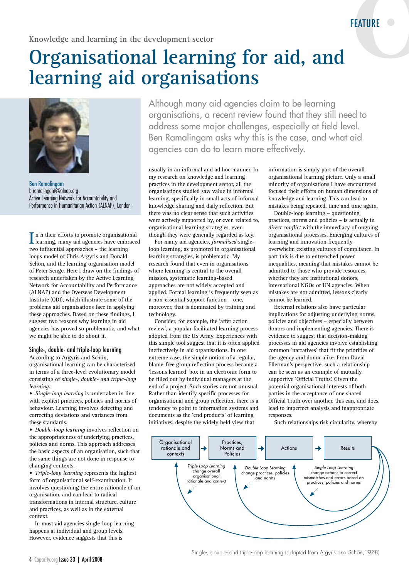# **Organisational learning for aid, and learning aid organisations**



Ben Ramalingam b.ramalingam@alnap.org Active Learning Network for Accountability and Performance in Humanitarian Action (ALNAP), London

In n their efforts to promote organisational learning, many aid agencies have embraced learning, many aid agencies have embraced two influential approaches – the learning loops model of Chris Argyris and Donald Schön, and the learning organisation model of Peter Senge. Here I draw on the findings of research undertaken by the Active Learning Network for Accountability and Performance (ALNAP) and the Overseas Development Institute (ODI), which illustrate some of the problems aid organisations face in applying these approaches. Based on these findings, I suggest two reasons why learning in aid agencies has proved so problematic, and what we might be able to do about it.

# Single-, double- and triple-loop learning

According to Argyris and Schön, organisational learning can be characterised in terms of a three-level evolutionary model consisting of *single-, double- and triple-loop learning:*

• *Single-loop learning* is undertaken in line with explicit practices, policies and norms of behaviour. Learning involves detecting and correcting deviations and variances from these standards.

• *Double-loop learning* involves reflection on the appropriateness of underlying practices, policies and norms. This approach addresses the basic aspects of an organisation, such that the same things are not done in response to changing contexts.

• *Triple-loop learning* represents the highest form of organisational self-examination. It involves questioning the entire rationale of an organisation, and can lead to radical transformations in internal structure, culture and practices, as well as in the external context.

In most aid agencies single-loop learning happens at individual and group levels. However, evidence suggests that this is

Although many aid agencies claim to be learning organisations, a recent review found that they still need to address some major challenges, especially at field level. Ben Ramalingam asks why this is the case, and what aid agencies can do to learn more effectively.

usually in an informal and ad hoc manner. In my research on knowledge and learning practices in the development sector, all the organisations studied saw value in informal learning, specifically in small acts of informal knowledge sharing and daily reflection. But there was no clear sense that such activities were actively supported by, or even related to, organisational learning strategies, even though they were generally regarded as key.

For many aid agencies, *formalised* singleloop learning, as promoted in organisational learning strategies, is problematic. My research found that even in organisations where learning is central to the overall mission, systematic learning-based approaches are not widely accepted and applied. Formal learning is frequently seen as a non-essential support function – one, moreover, that is dominated by training and technology.

Consider, for example, the 'after action review', a popular facilitated learning process adopted from the US Army. Experiences with this simple tool suggest that it is often applied ineffectively in aid organisations. In one extreme case, the simple notion of a regular, blame-free group reflection process became a 'lessons learned' box in an electronic form to be filled out by individual managers at the end of a project. Such stories are not unusual. Rather than identify specific processes for organisational and group reflection, there is a tendency to point to information systems and documents as the 'end products' of learning initiatives, despite the widely held view that

information is simply part of the overall organisational learning picture. Only a small minority of organisations I have encountered focused their efforts on human dimensions of knowledge and learning. This can lead to mistakes being repeated, time and time again.

Double-loop learning – questioning practices, norms and policies – is actually in *direct conflict* with the immediacy of ongoing organisational processes. Emerging cultures of learning and innovation frequently overwhelm existing cultures of compliance. In part this is due to entrenched power inequalities, meaning that mistakes cannot be admitted to those who provide resources, whether they are institutional donors, international NGOs or UN agencies. When mistakes are not admitted, lessons clearly cannot be learned.

External relations also have particular implications for adjusting underlying norms, policies and objectives – especially between donors and implementing agencies. There is evidence to suggest that decision-making processes in aid agencies involve establishing common 'narratives' that fit the priorities of the agency and donor alike. From David Ellerman's perspective, such a relationship can be seen as an example of mutually supportive 'Official Truths'. Given the potential organisational interests of both parties in the acceptance of one shared Official Truth over another, this can, and does, lead to imperfect analysis and inappropriate responses.

Such relationships risk circularity, whereby



Single-, double- and triple-loop learning (adapted from Argyris and Schön,1978)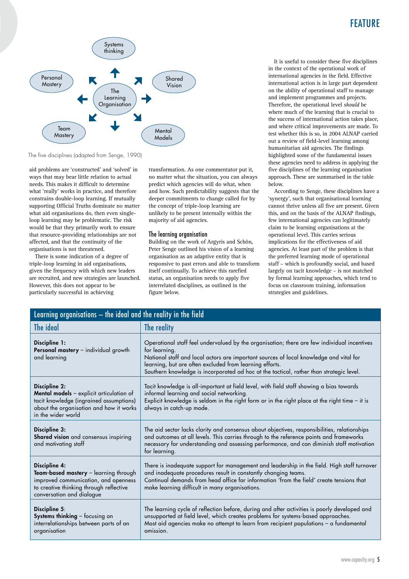# FEATURE



The five disciplines (adapted from Senge, 1990)

aid problems are 'constructed' and 'solved' in ways that may bear little relation to actual needs. This makes it difficult to determine what 'really' works in practice, and therefore constrains double-loop learning. If mutually supporting Official Truths dominate no matter what aid organisations do, then even singleloop learning may be problematic. The risk would be that they primarily work to ensure that resource-providing relationships are not affected, and that the continuity of the organisations is not threatened.

There is some indication of a degree of triple-loop learning in aid organisations, given the frequency with which new leaders are recruited, and new strategies are launched. However, this does not appear to be particularly successful in achieving

transformation. As one commentator put it, no matter what the situation, you can always predict which agencies will do what, when and how. Such predictability suggests that the deeper commitments to change called for by the concept of triple-loop learning are unlikely to be present internally within the majority of aid agencies.

#### The learning organisation

Building on the work of Argyris and Schön, Peter Senge outlined his vision of a learning organisation as an adaptive entity that is responsive to past errors and able to transform itself continually. To achieve this rarefied status, an organisation needs to apply five interrelated disciplines, as outlined in the figure below.

It is useful to consider these five disciplines in the context of the operational work of international agencies in the field. Effective international action is in large part dependent on the ability of operational staff to manage and implement programmes and projects. Therefore, the operational level *should* be where much of the learning that is crucial to the success of international action takes place, and where critical improvements are made. To test whether this is so, in 2004 ALNAP carried out a review of field-level learning among humanitarian aid agencies. The findings highlighted some of the fundamental issues these agencies need to address in applying the five disciplines of the learning organisation approach. These are summarised in the table below.

According to Senge, these disciplines have a 'synergy', such that organisational learning cannot thrive unless all five are present. Given this, and on the basis of the ALNAP findings, few international agencies can legitimately claim to be learning organisations at the operational level. This carries serious implications for the effectiveness of aid agencies. At least part of the problem is that the preferred learning mode of operational staff – which is profoundly social, and based largely on tacit knowledge – is not matched by formal learning approaches, which tend to focus on classroom training, information strategies and guidelines.

| Learning organisations - the ideal and the reality in the field                                                                                                        |                                                                                                                                                                                                                                                                                                                                                              |  |
|------------------------------------------------------------------------------------------------------------------------------------------------------------------------|--------------------------------------------------------------------------------------------------------------------------------------------------------------------------------------------------------------------------------------------------------------------------------------------------------------------------------------------------------------|--|
| The ideal                                                                                                                                                              | The reality                                                                                                                                                                                                                                                                                                                                                  |  |
| Discipline 1:<br>Personal mastery - individual growth<br>and learning                                                                                                  | Operational staff feel undervalued by the organisation; there are few individual incentives<br>for learning.<br>National staff and local actors are important sources of local knowledge and vital for<br>learning, but are often excluded from learning efforts.<br>Southern knowledge is incorporated ad hoc at the tactical, rather than strategic level. |  |
| Discipline 2:<br>Mental models - explicit articulation of<br>tacit knowledge (ingrained assumptions)<br>about the organisation and how it works<br>in the wider world  | Tacit knowledge is all-important at field level, with field staff showing a bias towards<br>informal learning and social networking.<br>Explicit knowledge is seldom in the right form or in the right place at the right time - it is<br>always in catch-up mode.                                                                                           |  |
| Discipline 3:<br>Shared vision and consensus inspiring<br>and motivating staff                                                                                         | The aid sector lacks clarity and consensus about objectives, responsibilities, relationships<br>and outcomes at all levels. This carries through to the reference points and frameworks<br>necessary for understanding and assessing performance, and can diminish staff motivation<br>for learning.                                                         |  |
| Discipline 4:<br>Team-based mastery - learning through<br>improved communication, and openness<br>to creative thinking through reflective<br>conversation and dialogue | There is inadequate support for management and leadership in the field. High staff turnover<br>and inadequate procedures result in constantly changing teams.<br>Continual demands from head office for information 'from the field' create tensions that<br>make learning difficult in many organisations.                                                  |  |
| Discipline 5:<br>Systems thinking - focusing on<br>interrelationships between parts of an<br>organisation                                                              | The learning cycle of reflection before, during and after activities is poorly developed and<br>unsupported at field level, which creates problems for systems-based approaches.<br>Most aid agencies make no attempt to learn from recipient populations - a fundamental<br>omission.                                                                       |  |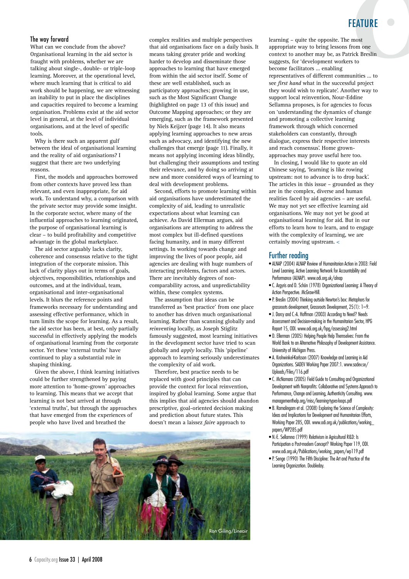# FEATURE

#### The way forward

What can we conclude from the above? Organisational learning in the aid sector is fraught with problems, whether we are talking about single-, double- or triple-loop learning. Moreover, at the operational level, where much learning that is critical to aid work should be happening, we are witnessing an inability to put in place the disciplines and capacities required to become a learning organisation. Problems exist at the aid sector level in general, at the level of individual organisations, and at the level of specific tools.

Why is there such an apparent gulf between the ideal of organisational learning and the reality of aid organisations? I suggest that there are two underlying reasons.

First, the models and approaches borrowed from other contexts have proved less than relevant, and even inappropriate, for aid work. To understand why, a comparison with the private sector may provide some insight. In the corporate sector, where many of the influential approaches to learning originated, the purpose of organisational learning is clear – to build profitability and competitive advantage in the global marketplace.

The aid sector arguably lacks clarity, coherence and consensus relative to the tight integration of the corporate mission. This lack of clarity plays out in terms of goals, objectives, responsibilities, relationships and outcomes, and at the individual, team, organisational and inter-organisational levels. It blurs the reference points and frameworks necessary for understanding and assessing effective performance, which in turn limits the scope for learning. As a result, the aid sector has been, at best, only partially successful in effectively applying the models of organisational learning from the corporate sector. Yet these 'external truths' have continued to play a substantial role in shaping thinking.

Given the above, I think learning initiatives could be further strengthened by paying more attention to 'home-grown' approaches to learning. This means that we accept that learning is not best arrived at through 'external truths', but through the approaches that have emerged from the experiences of people who have lived and breathed the

complex realities and multiple perspectives that aid organisations face on a daily basis. It means taking greater pride and working harder to develop and disseminate those approaches to learning that have emerged from within the aid sector itself. Some of these are well established, such as participatory approaches; growing in use, such as the Most Significant Change (highlighted on page 13 of this issue) and Outcome Mapping approaches; or they are emerging, such as the framework presented by Niels Keijzer (page 14). It also means applying learning approaches to new areas such as advocacy, and identifying the new challenges that emerge (page 11). Finally, it means not applying incoming ideas blindly, but challenging their assumptions and testing their relevance, and by doing so arriving at new and more considered ways of learning to deal with development problems.

Second, efforts to promote learning within aid organisations have underestimated the complexity of aid, leading to unrealistic expectations about what learning can achieve. As David Ellerman argues, aid organisations are attempting to address the most complex but ill-defined questions facing humanity, and in many different settings. In working towards change and improving the lives of poor people, aid agencies are dealing with huge numbers of interacting problems, factors and actors. There are inevitably degrees of noncomparability across, and unpredictability within, these complex systems.

The assumption that ideas can be transferred as 'best practice' from one place to another has driven much organisational learning. Rather than scanning globally and *reinventing* locally, as Joseph Stiglitz famously suggested, most learning initiatives in the development sector have tried to scan globally and *apply* locally. This 'pipeline' approach to learning seriously underestimates the complexity of aid work.

Therefore, best practice needs to be replaced with good principles that can provide the context for local reinvention, inspired by global learning. Some argue that this implies that aid agencies should abandon prescriptive, goal-oriented decision making and prediction about future states. This doesn't mean a laissez *faire* approach to



learning – quite the opposite. The most appropriate way to bring lessons from one context to another may be, as Patrick Breslin suggests, for 'development workers to become facilitators … enabling representatives of different communities … to see *first hand* what in the successful project they would wish to replicate'. Another way to support local reinvention, Nour-Eddine Sellamna proposes, is for agencies to focus on 'understanding the dynamics of change and promoting a collective learning framework through which concerned stakeholders can constantly, through dialogue, express their respective interests and reach consensus'. Home grownapproaches may prove useful here too.

In closing, I would like to quote an old Chinese saying, 'learning is like rowing upstream: not to advance is to drop back'. The articles in this issue – grounded as they are in the complex, diverse and human realities faced by aid agencies – are useful. We may not yet see effective learning aid organisations. We may not yet be good at organisational learning for aid. But in our efforts to learn how to learn, and to engage with the complexity of learning, we are certainly moving upstream. <

#### Further reading

- ALNAP (2004) ALNAP Review of Humanitarian Action in 2003: Field Level Learning. Active Learning Network for Accountability and Performance (ALNAP). www.odi.org.uk/alnap
- C. Argyris and D. Schön (1978) Organizational Learning: A Theory of Action Perspective. McGraw-Hill.
- P. Breslin (2004) Thinking outside Newton's box: Metaphors for grassroots development, Grassroots Development, 25(1): 1–9.
- J. Darcy and C.-A. Hoffman (2003) According to Need? Needs Assessment and Decision-making in the Humanitarian Sector, HPG Report 15, ODI. www.odi.org.uk/hpg/assessing2.html
- D. Ellerman (2005) Helping People Help Themselves: From the World Bank to an Alternative Philosophy of Development Assistance. University of Michigan Press.
- A. Krohwinkel-Karlsson (2007) Knowledge and Learning in Aid Organizations. SADEV Working Paper 2007:1. www.sadev.se/ Uploads/Files/116.pdf
- C. McNamara (2005) Field Guide to Consulting and Organizational Development with Nonprofits: Collaborative and Systems Approach to Performance, Change and Learning, Authenticity Consulting. www. managementhelp.org/misc/learning-types-loops.pdf
- B. Ramalingam et al. (2008) Exploring the Science of Complexity: Ideas and Implications for Development and Humanitarian Efforts, Working Paper 285, ODI. www.odi.org.uk/publications/working\_ papers/WP285.pdf
- N.-E. Sellamna (1999) Relativism in Agricultural R&D: Is Participation a Post-modern Concept? Working Paper 119, ODI. www.odi.org.uk/Publications/working\_papers/wp119.pdf
- P. Senge (1990) The Fifth Discipline: The Art and Practice of the Learning Organization. Doubleday.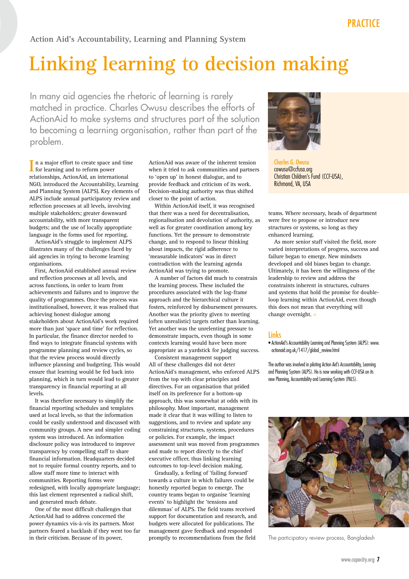**Action Aid's Accountability, Learning and Planning System**

# **Linking learning to decision making**

In many aid agencies the rhetoric of learning is rarely matched in practice. Charles Owusu describes the efforts of ActionAid to make systems and structures part of the solution to becoming a learning organisation, rather than part of the problem.

In a major effort to create space and time<br>for learning and to reform power for learning and to reform power relationships, ActionAid, an international NGO, introduced the Accountability, Learning and Planning System (ALPS). Key elements of ALPS include annual participatory review and reflection processes at all levels, involving multiple stakeholders; greater downward accountability, with more transparent budgets; and the use of locally appropriate language in the forms used for reporting.

ActionAid's struggle to implement ALPS illustrates many of the challenges faced by aid agencies in trying to become learning organisations.

First, ActionAid established annual review and reflection processes at all levels, and across functions, in order to learn from achievements and failures and to improve the quality of programmes. Once the process was institutionalised, however, it was realised that achieving honest dialogue among stakeholders about ActionAid's work required more than just 'space and time' for reflection. In particular, the finance director needed to find ways to integrate financial systems with programme planning and review cycles, so that the review process would directly influence planning and budgeting. This would ensure that learning would be fed back into planning, which in turn would lead to greater transparency in financial reporting at all levels.

It was therefore necessary to simplify the financial reporting schedules and templates used at local levels, so that the information could be easily understood and discussed with community groups. A new and simpler coding system was introduced. An information disclosure policy was introduced to improve transparency by compelling staff to share financial information. Headquarters decided not to require formal country reports, and to allow staff more time to interact with communities. Reporting forms were redesigned, with locally appropriate language; this last element represented a radical shift, and generated much debate.

One of the most difficult challenges that ActionAid had to address concerned the power dynamics vis-à-vis its partners. Most partners feared a backlash if they went too far in their criticism. Because of its power,

ActionAid was aware of the inherent tension when it tried to ask communities and partners to 'open up' in honest dialogue, and to provide feedback and criticism of its work. Decision-making authority was thus shifted closer to the point of action.

Within ActionAid itself, it was recognised that there was a need for decentralisation, regionalisation and devolution of authority, as well as for greater coordination among key functions. Yet the pressure to demonstrate change, and to respond to linear thinking about impacts, the rigid adherence to 'measurable indicators' was in direct contradiction with the learning agenda ActionAid was trying to promote.

A number of factors did much to constrain the learning process. These included the procedures associated with the log-frame approach and the hierarchical culture it fosters, reinforced by disbursement pressures. Another was the priority given to meeting (often unrealistic) targets rather than learning. Yet another was the unrelenting pressure to demonstrate impacts, even though in some contexts learning would have been more appropriate as a yardstick for judging success.

Consistent management support All of these challenges did not deter ActionAid's management, who enforced ALPS from the top with clear principles and directives. For an organisation that prided itself on its preference for a bottom-up approach, this was somewhat at odds with its philosophy. Most important, management made it clear that it was willing to listen to suggestions, and to review and update any constraining structures, systems, procedures or policies. For example, the impact assessment unit was moved from programmes and made to report directly to the chief executive officer, thus linking learning outcomes to top-level decision making.

Gradually, a feeling of 'failing forward' towards a culture in which failures could be honestly reported began to emerge. The country teams began to organise 'learning events' to highlight the 'tensions and dilemmas' of ALPS. The field teams received support for documentation and research, and budgets were allocated for publications. The management gave feedback and responded promptly to recommendations from the field



Charles G. Owusu cowusu@ccfusa.org Christian Children's Fund (CCF-USA), Richmond, VA, USA

teams. Where necessary, heads of department were free to propose or introduce new structures or systems, so long as they enhanced learning.

As more senior staff visited the field, more varied interpretations of progress, success and failure began to emerge. New mindsets developed and old biases began to change. Ultimately, it has been the willingness of the leadership to review and address the constraints inherent in structures, cultures and systems that hold the promise for doubleloop learning within ActionAid, even though this does not mean that everything will change overnight. <

### **Links**

• ActionAid's Accountability Learning and Planning System (ALPS): www. actionaid.org.uk/1417/global\_review.html

The author was involved in piloting Action Aid's Accountability, Learning and Planning System (ALPS). He is now working with CCF-USA on its new Planning, Accountability and Learning System (PALS).



The participatory review process, Bangladesh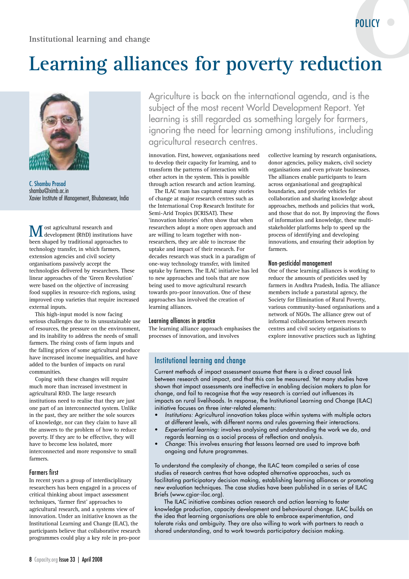# **Learning alliances for poverty reduction**



C. Shambu Prasad shambu@ximb.ac.in Xavier Institute of Management, Bhubaneswar, India

**M** ost agricultural research and<br>development (R&D) institutions have been shaped by traditional approaches to technology transfer, in which farmers, extension agencies and civil society organisations passively accept the technologies delivered by researchers. These linear approaches of the 'Green Revolution' were based on the objective of increasing food supplies in resource-rich regions, using improved crop varieties that require increased external inputs.

This high-input model is now facing serious challenges due to its unsustainable use of resources, the pressure on the environment, and its inability to address the needs of small farmers. The rising costs of farm inputs and the falling prices of some agricultural produce have increased income inequalities, and have added to the burden of impacts on rural communities.

Coping with these changes will require much more than increased investment in agricultural R&D. The large research institutions need to realise that they are just one part of an interconnected system. Unlike in the past, they are neither the sole sources of knowledge, nor can they claim to have all the answers to the problem of how to reduce poverty. If they are to be effective, they will have to become less isolated, more interconnected and more responsive to small farmers.

#### Farmers first

In recent years a group of interdisciplinary researchers has been engaged in a process of critical thinking about impact assessment techniques, 'farmer first' approaches to agricultural research, and a systems view of innovation. Under an initiative known as the Institutional Learning and Change (ILAC), the participants believe that collaborative research programmes could play a key role in pro-poor

Agriculture is back on the international agenda, and is the subject of the most recent World Development Report. Yet learning is still regarded as something largely for farmers, ignoring the need for learning among institutions, including agricultural research centres.

innovation. First, however, organisations need to develop their capacity for learning, and to transform the patterns of interaction with other actors in the system. This is possible through action research and action learning.

The ILAC team has captured many stories of change at major research centres such as the International Crop Research Institute for Semi-Arid Tropics (ICRISAT). These 'innovation histories' often show that when researchers adopt a more open approach and are willing to learn together with nonresearchers, they are able to increase the uptake and impact of their research. For decades research was stuck in a paradigm of one-way technology transfer, with limited uptake by farmers. The ILAC initiative has led to new approaches and tools that are now being used to move agricultural research towards pro-poor innovation. One of these approaches has involved the creation of learning alliances.

#### Learning alliances in practice

The learning alliance approach emphasises the processes of innovation, and involves

collective learning by research organisations, donor agencies, policy makers, civil society organisations and even private businesses. The alliances enable participants to learn across organisational and geographical boundaries, and provide vehicles for collaboration and sharing knowledge about approaches, methods and policies that work, and those that do not. By improving the flows of information and knowledge, these multistakeholder platforms help to speed up the process of identifying and developing innovations, and ensuring their adoption by farmers.

POLICY

#### Non-pesticidal management

One of these learning alliances is working to reduce the amounts of pesticides used by farmers in Andhra Pradesh, India. The alliance members include a parastatal agency, the Society for Elimination of Rural Poverty, various community-based organisations and a network of NGOs. The alliance grew out of informal collaborations between research centres and civil society organisations to explore innovative practices such as lighting

#### Institutional learning and change

Current methods of impact assessment assume that there is a direct causal link between research and impact, and that this can be measured. Yet many studies have shown that impact assessments are ineffective in enabling decision makers to plan for change, and fail to recognise that the *way* research is carried out influences its impacts on rural livelihoods. In response, the Institutional Learning and Change (ILAC) initiative focuses on three inter-related elements:

- *Institutions:* Agricultural innovation takes place within systems with multiple actors at different levels, with different norms and rules governing their interactions.
- *Experiential learning:* involves analysing and understanding the work we do, and regards learning as a social process of reflection and analysis.
- *Change:* This involves ensuring that lessons learned are used to improve both ongoing and future programmes.

To understand the complexity of change, the ILAC team compiled a series of case studies of research centres that have adopted alternative approaches, such as facilitating participatory decision making, establishing learning alliances or promoting new evaluation techniques. The case studies have been published in a series of ILAC Briefs (www.cgiar-ilac.org).

The ILAC initiative combines action research and action learning to foster knowledge production, capacity development and behavioural change. ILAC builds on the idea that learning organisations are able to embrace experimentation, and tolerate risks and ambiguity. They are also willing to work with partners to reach a shared understanding, and to work towards participatory decision making.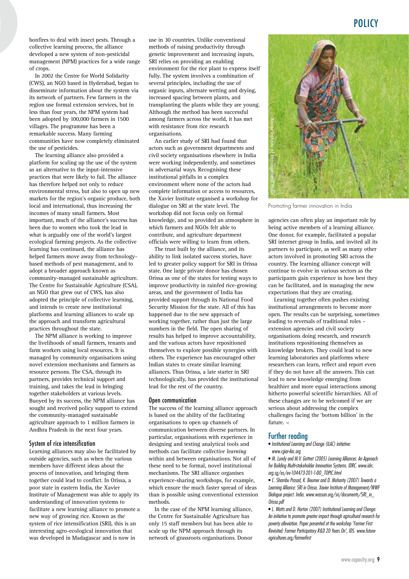bonfires to deal with insect pests. Through a collective learning process, the alliance developed a new system of non-pesticidal management (NPM) practices for a wide range of crops.

In 2002 the Centre for World Solidarity (CWS), an NGO based in Hyderabad, began to disseminate information about the system via its network of partners. Few farmers in the region use formal extension services, but in less than four years, the NPM system had been adopted by 100,000 farmers in 1500 villages. The programme has been a remarkable success. Many farming communities have now completely eliminated the use of pesticides.

The learning alliance also provided a platform for scaling up the use of the system as an alternative to the input-intensive practices that were likely to fail. The alliance has therefore helped not only to reduce environmental stress, but also to open up new markets for the region's organic produce, both local and international, thus increasing the incomes of many small farmers. Most important, much of the alliance's success has been due to women who took the lead in what is arguably one of the world's largest ecological farming projects. As the collective learning has continued, the alliance has helped farmers move away from technologybased methods of pest management, and to adopt a broader approach known as community-managed sustainable agriculture. The Centre for Sustainable Agriculture (CSA), an NGO that grew out of CWS, has also adopted the principle of collective learning, and intends to create new institutional platforms and learning alliances to scale up the approach and transform agricultural practices throughout the state.

The NPM alliance is working to improve the livelihoods of small farmers, tenants and farm workers using local resources. It is managed by community organisations using novel extension mechanisms and farmers as resource persons. The CSA, through its partners, provides technical support and training, and takes the lead in bringing together stakeholders at various levels. Buoyed by its success, the NPM alliance has sought and received policy support to extend the community-managed sustainable agriculture approach to 1 million farmers in Andhra Pradesh in the next four years.

#### System of rice intensification

Learning alliances may also be facilitated by outside agencies, such as when the various members have different ideas about the process of innovation, and bringing them together could lead to conflict. In Orissa, a poor state in eastern India, the Xavier Institute of Management was able to apply its understanding of innovation systems to facilitate a new learning alliance to promote a new way of growing rice. Known as the system of rice intensification (SRI), this is an interesting agro-ecological innovation that was developed in Madagascar and is now in

use in 30 countries. Unlike conventional methods of raising productivity through genetic improvement and increasing inputs, SRI relies on providing an enabling environment for the rice plant to express itself fully. The system involves a combination of several principles, including the use of organic inputs, alternate wetting and drying, increased spacing between plants, and transplanting the plants while they are young. Although the method has been successful among farmers across the world, it has met with resistance from rice research organisations.

An earlier study of SRI had found that actors such as government departments and civil society organisations elsewhere in India were working independently, and sometimes in adversarial ways. Recognising these institutional pitfalls in a complex environment where none of the actors had complete information or access to resources, the Xavier Institute organised a workshop for dialogue on SRI at the state level. The workshop did not focus only on formal knowledge, and so provided an atmosphere in which farmers and NGOs felt able to contribute, and agriculture department officials were willing to learn from others.

The trust built by the alliance, and its ability to link isolated success stories, have led to greater policy support for SRI in Orissa state. One large private donor has chosen Orissa as one of the states for testing ways to improve productivity in rainfed rice-growing areas, and the government of India has provided support through its National Food Security Mission for the state. All of this has happened due to the new approach of working together, rather than just the large numbers in the field. The open sharing of results has helped to improve accountability, and the various actors have repositioned themselves to explore possible synergies with others. The experience has encouraged other Indian states to create similar learning alliances. Thus Orissa, a late starter in SRI technologically, has provided the institutional lead for the rest of the country.

#### Open communication

The success of the learning alliance approach is based on the ability of the facilitating organisations to open up channels of communication between diverse partners. In particular, organisations with experience in designing and testing analytical tools and methods can facilitate *collective learning* within and between organisations. Not all of these need to be formal, novel institutional mechanisms. The SRI alliance organises experience-sharing workshops, for example, which ensure the much faster spread of ideas than is possible using conventional extension methods.

In the case of the NPM learning alliance, the Centre for Sustainable Agriculture has only 15 staff members but has been able to scale up the NPM approach through its network of grassroots organisations. Donor



Promoting farmer innovation in India

agencies can often play an important role by being active members of a learning alliance. One donor, for example, facilitated a popular SRI internet group in India, and invited all its partners to participate, as well as many other actors involved in promoting SRI across the country. The learning alliance concept will continue to evolve in various sectors as the participants gain experience in how best they can be facilitated, and in managing the new expectations that they are creating.

Learning together often pushes existing institutional arrangements to become more open. The results can be surprising, sometimes leading to reversals of traditional roles – extension agencies and civil society organisations doing research, and research institutions repositioning themselves as knowledge brokers. They could lead to new learning laboratories and platforms where researchers can learn, reflect and report even if they do not have all the answers. This can lead to new knowledge emerging from healthier and more equal interactions among hitherto powerful scientific hierarchies. All of these changes are to be welcomed if we are serious about addressing the complex challenges facing the 'bottom billion' in the future. <

#### Further reading

• *Institutional Learning and Change (ILAC) initiative: www.cgiar-ilac.org* 

• *M. Lundy and M.V. Gottret (2005) Learning Alliances: An Approach for Building Multi-stakeholder Innovation Systems. IDRC. www.idrc. org.sg/es/ev-104473-201-1-DO\_TOPIC.html* 

• *C. Shambu Prasad, K. Beumer and D. Mohanty (2007) Towards a Learning Alliance: SRI in Orissa. Xavier Institute of Management/WWF Dialogue project. India. www.wassan.org/sri/documents/SRI\_in\_ Orissa.pdf* 

• *L. Watts and D. Horton (2007) Institutional Learning and Change: An initiative to promote greater impact through agricultural research for poverty alleviation. Paper presented at the workshop 'Farmer First Revisited: Farmer Participatory R&D 20 Years On', IDS. www.future*agricultures.org/farmerfirst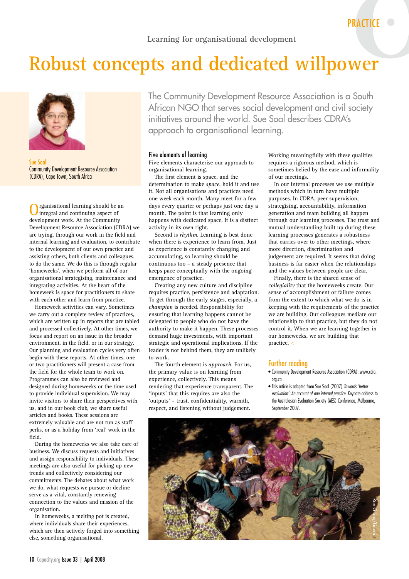# **Robust concepts and dedicated willpower**



Sue Soal Community Development Resource Association (CDRA), Cape Town, South Africa

rganisational learning should be an integral and continuing aspect of development work. At the Community Development Resource Association (CDRA) we are trying, through our work in the field and internal learning and evaluation, to contribute to the development of our own practice and assisting others, both clients and colleagues, to do the same. We do this is through regular 'homeweeks', when we perform all of our organisational strategising, maintenance and integrating activities. At the heart of the homeweek is space for practitioners to share with each other and learn from practice.

Homeweek activities can vary. Sometimes we carry out a complete review of practices, which are written up in reports that are tabled and processed collectively. At other times, we focus and report on an issue in the broader environment, in the field, or in our strategy. Our planning and evaluation cycles very often begin with these reports. At other times, one or two practitioners will present a case from the field for the whole team to work on. Programmes can also be reviewed and designed during homeweeks or the time used to provide individual supervision. We may invite visitors to share their perspectives with us, and in our book club, we share useful articles and books. These sessions are extremely valuable and are not run as staff perks, or as a holiday from 'real' work in the field.

During the homeweeks we also take care of business. We discuss requests and initiatives and assign responsibility to individuals. These meetings are also useful for picking up new trends and collectively considering our commitments. The debates about what work we do, what requests we pursue or decline serve as a vital, constantly renewing connection to the values and mission of the organisation.

In homeweeks, a melting pot is created, where individuals share their experiences. which are then actively forged into something else, something organisational.

The Community Development Resource Association is a South African NGO that serves social development and civil society initiatives around the world. Sue Soal describes CDRA's approach to organisational learning.

#### Five elements of learning

Five elements characterise our approach to organisational learning.

The first element is space, and the determination to make *space*, hold it and use it. Not all organisations and practices need one week each month. Many meet for a few days every quarter or perhaps just one day a month. The point is that learning only happens with dedicated space. It is a distinct activity in its own right.

Second is *rhythm*. Learning is best done when there is experience to learn from. Just as experience is constantly changing and accumulating, so learning should be continuous too – a steady presence that keeps pace conceptually with the ongoing emergence of practice.

Creating any new culture and discipline requires practice, persistence and adaptation. To get through the early stages, especially, a *champion* is needed. Responsibility for ensuring that learning happens cannot be delegated to people who do not have the authority to make it happen. These processes demand huge investments, with important strategic and operational implications. If the leader is not behind them, they are unlikely to work.

The fourth element is *approach*. For us, the primary value is on learning from experience, collectively. This means rendering that experience transparent. The 'inputs' that this requires are also the 'outputs' – trust, confidentiality, warmth, respect, and listening without judgement.

Working meaningfully with these qualities requires a rigorous method, which is sometimes belied by the ease and informality of our meetings.

In our internal processes we use multiple methods which in turn have multiple purposes. In CDRA, peer supervision, strategising, accountability, information generation and team building all happen through our learning processes. The trust and mutual understanding built up during these learning processes generates a robustness that carries over to other meetings, where more direction, discrimination and judgement are required. It seems that doing business is far easier when the relationships and the values between people are clear.

Finally, there is the shared sense of *collegiality* that the homeweeks create. Our sense of accomplishment or failure comes from the extent to which what we do is in keeping with the requirements of the practice we are building. Our colleagues mediate our relationship to that practice, but they do not control it. When we are learning together in our homeweeks, we are building that practice. <

#### Further reading

- Community Development Resource Association (CDRA): www.cdra. org.za
- This article is adapted from Sue Soal (2007) *Towards 'better evaluation': An account of one internal practice*. Keynote address to the Australasian Evaluation Society (AES) Conference, Melbourne, September 2007.

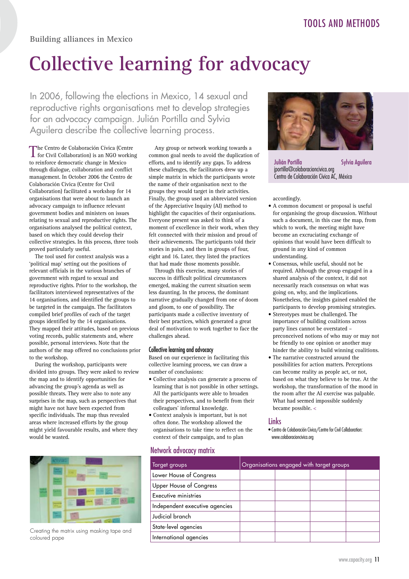# **Collective learning for advocacy**

In 2006, following the elections in Mexico, 14 sexual and reproductive rights organisations met to develop strategies for an advocacy campaign. Julián Portilla and Sylvia Aguilera describe the collective learning process.

The Centro de Colaboración Cívica (Centre for Civil Collaboration) is an NGO working to reinforce democratic change in Mexico through dialogue, collaboration and conflict management. In October 2006 the Centro de Colaboración Cívica (Centre for Civil Collaboration) facilitated a workshop for 14 organisations that were about to launch an advocacy campaign to influence relevant government bodies and ministers on issues relating to sexual and reproductive rights. The organisations analysed the political context, based on which they could develop their collective strategies. In this process, three tools proved particularly useful.

The tool used for context analysis was a 'political map' setting out the positions of relevant officials in the various branches of government with regard to sexual and reproductive rights. Prior to the workshop, the facilitators interviewed representatives of the 14 organisations, and identified the groups to be targeted in the campaign. The facilitators compiled brief profiles of each of the target groups identified by the 14 organisations. They mapped their attitudes, based on previous voting records, public statements and, where possible, personal interviews. Note that the authors of the map offered no conclusions prior to the workshop.

During the workshop, participants were divided into groups. They were asked to review the map and to identify opportunities for advancing the group's agenda as well as possible threats. They were also to note any surprises in the map, such as perspectives that might have not have been expected from specific individuals. The map thus revealed areas where increased efforts by the group might yield favourable results, and where they would be wasted.



Creating the matrix using masking tape and coloured pape

Any group or network working towards a common goal needs to avoid the duplication of efforts, and to identify any gaps. To address these challenges, the facilitators drew up a simple matrix in which the participants wrote the name of their organisation next to the groups they would target in their activities. Finally, the group used an abbreviated version of the Appreciative Inquiry (AI) method to highlight the capacities of their organisations. Everyone present was asked to think of a moment of excellence in their work, when they felt connected with their mission and proud of their achievements. The participants told their stories in pairs, and then in groups of four, eight and 16. Later, they listed the practices that had made those moments possible.

Through this exercise, many stories of success in difficult political circumstances emerged, making the current situation seem less daunting. In the process, the dominant narrative gradually changed from one of doom and gloom, to one of possibility. The participants made a collective inventory of their best practices, which generated a great deal of motivation to work together to face the challenges ahead.

#### Collective learning and advocacy

Based on our experience in facilitating this collective learning process, we can draw a number of conclusions:

- Collective analysis can generate a process of learning that is not possible in other settings. All the participants were able to broaden their perspectives, and to benefit from their colleagues' informal knowledge.
- Context analysis is important, but is not often done. The workshop allowed the organisations to take time to reflect on the context of their campaign, and to plan

### Network advocacy matrix





Julián Portilla **Sylvia Aguilera** jportilla@colaboracioncivica.org Centro de Colaboración Cívica AC, México

#### accordingly.

- A common document or proposal is useful for organising the group discussion. Without such a document, in this case the map, from which to work, the meeting might have become an excruciating exchange of opinions that would have been difficult to ground in any kind of common understanding.
- Consensus, while useful, should not be required. Although the group engaged in a shared analysis of the context, it did not necessarily reach consensus on what was going on, why, and the implications. Nonetheless, the insights gained enabled the participants to develop promising strategies.
- Stereotypes must be challenged. The importance of building coalitions across party lines cannot be overstated – preconceived notions of who may or may not be friendly to one opinion or another may hinder the ability to build winning coalitions.
- The narrative constructed around the possibilities for action matters. Perceptions can become reality as people act, or not, based on what they believe to be true. At the workshop, the transformation of the mood in the room after the AI exercise was palpable. What had seemed impossible suddenly became possible. <

#### **Links**

• Centro de Colaboración Cívica/Centre for Civil Collaboration: www.colaboracioncivica.org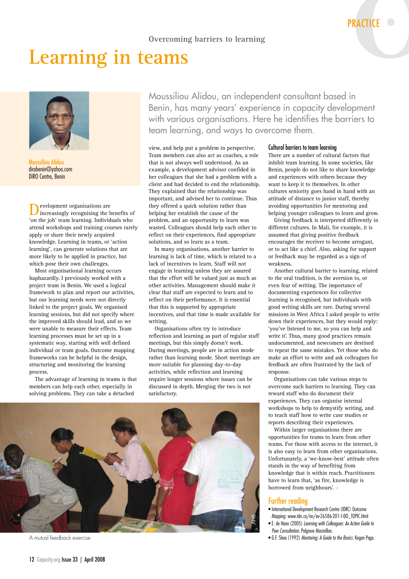# **Learning in teams**



Moussiliou Alidou dirobenin@yahoo.com DIRO Centre, Benin

**D**evelopment organisations are<br>increasingly recognising the benefits of 'on the job' team learning. Individuals who attend workshops and training courses rarely apply or share their newly acquired knowledge. Learning in teams, or 'action learning', can generate solutions that are more likely to be applied in practice, but which pose their own challenges.

Most organisational learning occurs haphazardly. I previously worked with a project team in Benin. We used a logical framework to plan and report our activities, but our learning needs were not directly linked to the project goals. We organised learning sessions, but did not specify where the improved skills should lead, and so we were unable to measure their effects. Team learning processes must be set up in a systematic way, starting with well defined individual or team goals. Outcome mapping frameworks can be helpful in the design, structuring and monitoring the learning process.

The advantage of learning in teams is that members can help each other, especially in solving problems. They can take a detached

Moussiliou Alidou, an independent consultant based in Benin, has many years' experience in capacity development with various organisations. Here he identifies the barriers to team learning, and ways to overcome them.

view, and help put a problem in perspective. Team members can also act as coaches, a role that is not always well understood. As an example, a development advisor confided in her colleagues that she had a problem with a client and had decided to end the relationship. They explained that the relationship was important, and advised her to continue. Thus they offered a quick solution rather than helping her establish the cause of the problem, and an opportunity to learn was wasted. Colleagues should help each other to reflect on their experiences, find appropriate solutions, and so learn as a team.

In many organisations, another barrier to learning is lack of time, which is related to a lack of incentives to learn. Staff will not engage in learning unless they are assured that the effort will be valued just as much as other activities. Management should make it clear that staff are expected to learn and to reflect on their performance. It is essential that this is supported by appropriate incentives, and that time is made available for writing.

Organisations often try to introduce reflection and learning as part of regular staff meetings, but this simply doesn't work. During meetings, people are in action mode rather than learning mode. Short meetings are more suitable for planning day-to-day activities, while reflection and learning require longer sessions where issues can be discussed in depth. Merging the two is not satisfactory.



A mutual feedback exercise

#### Cultural barriers to team learning

There are a number of cultural factors that inhibit team learning. In some societies, like Benin, people do not like to share knowledge and experiences with others because they want to keep it to themselves. In other cultures seniority goes hand in hand with an attitude of distance to junior staff, thereby avoiding opportunities for mentoring and helping younger colleagues to learn and grow.

Giving feedback is interpreted differently in different cultures. In Mali, for example, it is assumed that giving positive feedback encourages the receiver to become arrogant, or to act like a chief. Also, asking for support or feedback may be regarded as a sign of weakness.

Another cultural barrier to learning, related to the oral tradition, is the aversion to, or even fear of writing. The importance of documenting experiences for collective learning is recognised, but individuals with good writing skills are rare. During several missions in West Africa I asked people to write down their experiences, but they would reply: 'you've listened to me, so you can help and write it'. Thus, many good practices remain undocumented, and newcomers are destined to repeat the same mistakes. Yet those who do make an effort to write and ask colleagues for feedback are often frustrated by the lack of response.

Organisations can take various steps to overcome such barriers to learning. They can reward staff who do document their experiences. They can organise internal workshops to help to demystify writing, and to teach staff how to write case studies or reports describing their experiences.

Within larger organisations there are opportunities for teams to learn from other teams. For those with access to the internet, it is also easy to learn from other organisations. Unfortunately, a 'we-know-best' attitude often stands in the way of benefiting from knowledge that is within reach. Practitioners have to learn that, 'as fire, knowledge is borrowed from neighbours'. <

#### Further reading

- International Development Research Centre (IDRC) Outcome Mapping: www.idrc.ca/en/ev-26586-201-1-DO\_TOPIC.html
- E. de Haan (2005) *Learning with Colleagues: An Action Guide to Peer Consultation.* Palgrave Macmillan.
- G.F. Shea (1992) *Mentoring: A Guide to the Basics*. Kogan Page.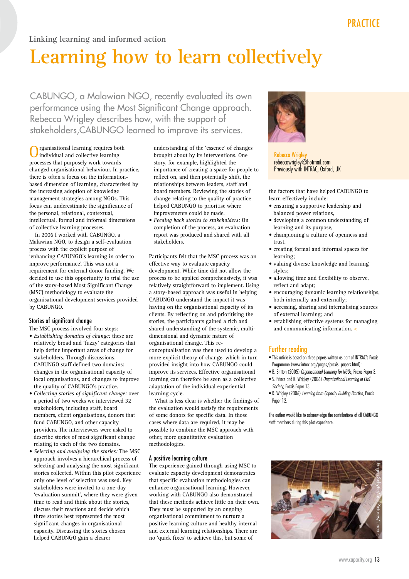# **Linking learning and informed action**

# **Learning how to learn collectively**

CABUNGO, a Malawian NGO, recently evaluated its own performance using the Most Significant Change approach. Rebecca Wrigley describes how, with the support of stakeholders,CABUNGO learned to improve its services.

Organisational learning requires both individual and collective learning processes that purposely work towards changed organisational behaviour. In practice, there is often a focus on the informationbased dimension of learning, characterised by the increasing adoption of knowledge management strategies among NGOs. This focus can underestimate the significance of the personal, relational, contextual, intellectual, formal and informal dimensions of collective learning processes.

In 2006 I worked with CABUNGO, a Malawian NGO, to design a self-evaluation process with the explicit purpose of 'enhancing CABUNGO's learning in order to improve performance'. This was not a requirement for external donor funding. We decided to use this opportunity to trial the use of the story-based Most Significant Change (MSC) methodology to evaluate the organisational development services provided by CABUNGO.

#### Stories of significant change

The MSC process involved four steps:

- *Establishing domains of change:* these are relatively broad and 'fuzzy' categories that help define important areas of change for stakeholders. Through discussions, CABUNGO staff defined two domains: changes in the organisational capacity of local organisations, and changes to improve the quality of CABUNGO's practice.
- *Collecting stories of significant change:* over a period of two weeks we interviewed 32 stakeholders, including staff, board members, client organisations, donors that fund CABUNGO, and other capacity providers. The interviewees were asked to describe stories of most significant change relating to each of the two domains.
- *Selecting and analysing the stories:* The MSC approach involves a hierarchical process of selecting and analysing the most significant stories collected. Within this pilot experience only one level of selection was used. Key stakeholders were invited to a one-day 'evaluation summit', where they were given time to read and think about the stories, discuss their reactions and decide which three stories best represented the most significant changes in organisational capacity. Discussing the stories chosen helped CABUNGO gain a clearer

understanding of the 'essence' of changes brought about by its interventions. One story, for example, highlighted the importance of creating a space for people to reflect on, and then potentially shift, the relationships between leaders, staff and board members. Reviewing the stories of change relating to the quality of practice helped CABUNGO to prioritise where improvements could be made.

• *Feeding back stories to stakeholders:* On completion of the process, an evaluation report was produced and shared with all stakeholders.

Participants felt that the MSC process was an effective way to evaluate capacity development. While time did not allow the process to be applied comprehensively, it was relatively straightforward to implement. Using a story-based approach was useful in helping CABUNGO understand the impact it was having on the organisational capacity of its clients. By reflecting on and prioritising the stories, the participants gained a rich and shared understanding of the systemic, multidimensional and dynamic nature of organisational change. This reconceptualisation was then used to develop a more explicit theory of change, which in turn provided insight into how CABUNGO could improve its services. Effective organisational learning can therefore be seen as a collective adaptation of the individual experiential learning cycle.

What is less clear is whether the findings of the evaluation would satisfy the requirements of some donors for specific data. In those cases where data are required, it may be possible to combine the MSC approach with other, more quantitative evaluation methodologies.

#### A positive learning culture

The experience gained through using MSC to evaluate capacity development demonstrates that specific evaluation methodologies can enhance organisational learning. However, working with CABUNGO also demonstrated that these methods achieve little on their own. They must be supported by an ongoing organisational commitment to nurture a positive learning culture and healthy internal and external learning relationships. There are no 'quick fixes' to achieve this, but some of



**Rebecca Wrigley** rebeccawrigley@hotmail.com Previously with INTRAC, Oxford, UK

the factors that have helped CABUNGO to learn effectively include:

- ensuring a supportive leadership and balanced power relations,
- developing a common understanding of learning and its purpose,
- championing a culture of openness and trust.
- creating formal and informal spaces for learning;
- valuing diverse knowledge and learning styles;
- allowing time and flexibility to observe, reflect and adapt;
- encouraging dynamic learning relationships, both internally and externally;
- accessing, sharing and internalising sources of external learning; and
- establishing effective systems for managing and communicating information. <

#### Further reading

- This article is based on three papers written as part of INTRAC's Praxis Programme (www.intrac.org/pages/praxis\_papers.html):
- B. Britton (2005) *Organisational Learning for NGOs*, Praxis Paper 3. • S. Prince and R. Wrigley (2006) *Organisational Learning in Civil*
- *Society*, Praxis Paper 13.
- R. Wrigley (2006) *Learning from Capacity Building Practice*, Praxis Paper 12.

The author would like to acknowledge the contributions of all CABUNGO staff members during this pilot experience.

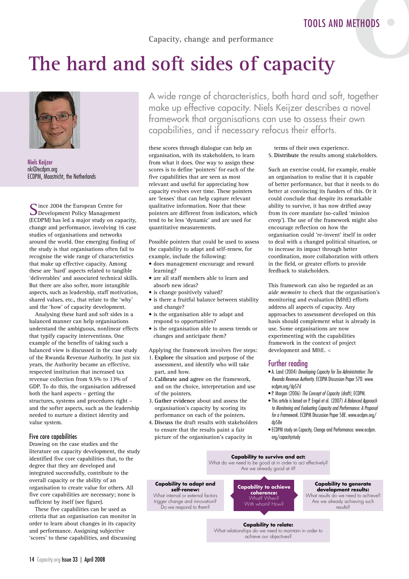**Capacity, change and performance**

# **The hard and soft sides of capacity**



Niels Keijzer nk@ecdpm.org ECDPM, Maastricht, the Netherlands

Since 2004 the European Centre for<br>
Development Policy Management (ECDPM) has led a major study on capacity, change and performance, involving 16 case studies of organisations and networks around the world. One emerging finding of the study is that organisations often fail to recognise the wide range of characteristics that make up effective capacity. Among these are 'hard' aspects related to tangible 'deliverables' and associated technical skills. But there are also softer, more intangible aspects, such as leadership, staff motivation, shared values, etc., that relate to the 'why' and the 'how' of capacity development.

Analysing these hard and soft sides in a balanced manner can help organisations understand the ambiguous, nonlinear effects that typify capacity interventions. One example of the benefits of taking such a balanced view is discussed in the case study of the Rwanda Revenue Authority. In just six years, the Authority became an effective, respected institution that increased tax revenue collection from 9.5% to 13% of GDP. To do this, the organisation addressed both the hard aspects – getting the structures, systems and procedures right – and the softer aspects, such as the leadership needed to nurture a distinct identity and value system.

#### Five core capabilities

Drawing on the case studies and the literature on capacity development, the study identified five core capabilities that, to the degree that they are developed and integrated successfully, contribute to the overall capacity or the ability of an organisation to create value for others. All five core capabilities are necessary; none is sufficient by itself (see figure).

These five capabilities can be used as criteria that an organisation can monitor in order to learn about changes in its capacity and performance. Assigning subjective 'scores' to these capabilities, and discussing A wide range of characteristics, both hard and soft, together make up effective capacity. Niels Keijzer describes a novel framework that organisations can use to assess their own capabilities, and if necessary refocus their efforts.

these scores through dialogue can help an organisation, with its stakeholders, to learn from what it does. One way to assign these scores is to define 'pointers' for each of the five capabilities that are seen as most relevant and useful for appreciating how capacity evolves over time. These pointers are 'lenses' that can help capture relevant qualitative information. Note that these pointers are different from indicators, which tend to be less 'dynamic' and are used for quantitative measurements.

Possible pointers that could be used to assess the capability to adapt and self-renew, for example, include the following:

- does management encourage and reward learning?
- are all staff members able to learn and absorb new ideas?
- is change positively valued?
- is there a fruitful balance between stability and change?
- is the organisation able to adapt and respond to opportunities?
- is the organisation able to assess trends or changes and anticipate them?

Applying the framework involves five steps:

- 1. **Explore** the situation and purpose of the assessment, and identify who will take part, and how.
- 2. **Calibrate and agree** on the framework, and on the choice, interpretation and use of the pointers.
- 3. **Gather evidence** about and assess the organisation's capacity by scoring its performance on each of the pointers.
- 4. **Discuss** the draft results with stakeholders to ensure that the results paint a fair picture of the organisation's capacity in

terms of their own experience. 5. **Distribute** the results among stakeholders.

Such an exercise could, for example, enable an organisation to realise that it is capable of better performance, but that it needs to do better at convincing its funders of this. Or it could conclude that despite its remarkable ability to survive, it has now drifted away from its core mandate (so-called 'mission creep'). The use of the framework might also encourage reflection on how the organisation could 're-invent' itself in order to deal with a changed political situation, or to increase its impact through better coordination, more collaboration with others in the field, or greater efforts to provide feedback to stakeholders.

This framework can also be regarded as an *aide memoire* to check that the organisation's monitoring and evaluation (M&E) efforts address all aspects of capacity. Any approaches to assessment developed on this basis should complement what is already in use. Some organisations are now experimenting with the capabilities framework in the context of project development and M&E. <

#### Further reading

- A. Land (2004) *Developing Capacity for Tax Administration: The Rwanda Revenue Authority*. ECDPM Discussion Paper 57D. www. ecdpm.org/dp57d
- P. Morgan (2006) *The Concept of Capacity (draft)*, ECDPM.
- This article is based on P. Engel et al. (2007) *A Balanced Approach to Monitoring and Evaluating Capacity and Performance: A Proposal for a Framework*. ECDPM Discussion Paper 58E. www.ecdpm.org/ dp58e
- ECDPM study on Capacity, Change and Performance: www.ecdpm. org/capacitystudy



What relationships do we need to maintain in order to achieve our objectives?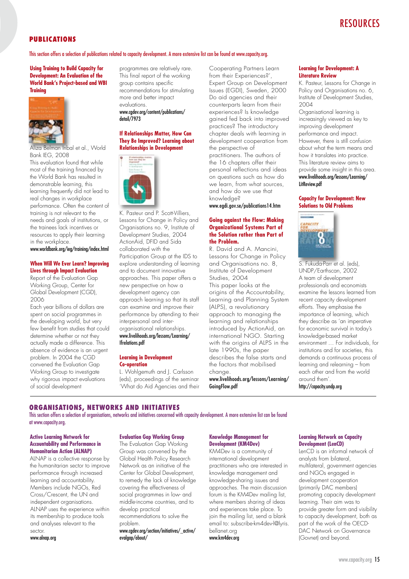# **RESOURCES**

#### **PUBLICATIONS**

This section offers a selection of publications related to capacity development. A more extensive list can be found at www.capacity.org.

**Using Training to Build Capacity for Development: An Evaluation of the World Bank's Project-based and WBI Training**



Aliza Belman Inbal et al., World Bank IEG, 2008

This evaluation found that while most of the training financed by the World Bank has resulted in demonstrable learning, this learning frequently did not lead to real changes in workplace performance. Often the content of training is not relevant to the needs and goals of institutions, or the trainees lack incentives or resources to apply their learning in the workplace.

www.worldbank.org/ieg/training/index.html

#### **When Will We Ever Learn? Improving Lives through Impact Evaluation**

Report of the Evaluation Gap Working Group, Center for Global Development (CGD), 2006

Each year billions of dollars are spent on social programmes in the developing world, but very few benefit from studies that could determine whether or not they actually made a difference. This absence of evidence is an urgent problem. In 2004 the CGD convened the Evaluation Gap Working Group to investigate why rigorous impact evaluations of social development

programmes are relatively rare. This final report of the working group contains specific recommendations for stimulating more and better impact evaluations. www.cgdev.org/content/publications/ detail/7973

#### **If Relationships Matter, How Can They Be Improved? Learning about Relationships in Development**



K. Pasteur and P. Scott-Villiers, Lessons for Change in Policy and Organisations no. 9, Institute of Development Studies, 2004 ActionAid, DFID and Sida collaborated with the Participation Group at the IDS to explore understanding of learning and to document innovative approaches. This paper offers a new perspective on how a development agency can approach learning so that its staff can examine and improve their performance by attending to their interpersonal and interorganisational relationships. www.livelihoods.org/lessons/Learning/ Ifrelations.pdf

#### **Learning in Development Co-operation**

L. Wohlgemuth and J. Carlsson (eds), proceedings of the seminar 'What do Aid Agencies and their Cooperating Partners Learn from their Experiences?', Expert Group on Development Issues (EGDI), Sweden, 2000 Do aid agencies and their counterparts learn from their experiences? Is knowledge gained fed back into improved practices? The introductory chapter deals with learning in development cooperation from the perspective of practitioners. The authors of the 16 chapters offer their personal reflections and ideas on questions such as how do we learn, from what sources, and how do we use that knowledge?

www.egdi.gov.se/publications14.htm

#### **Going against the Flow: Making Organizational Systems Part of the Solution rather than Part of the Problem.**

R. David and A. Mancini, Lessons for Change in Policy and Organisations no. 8, Institute of Development Studies, 2004 This paper looks at the origins of the Accountability, Learning and Planning System (ALPS), a revolutionary approach to managing the learning and relationships introduced by ActionAid, an international NGO. Starting with the origins of ALPS in the late 1990s, the paper describes the false starts and the factors that mobilised change. www.livelihoods.org/lessons/Learning/

GoingFlow.pdf

#### **Learning for Development: A Literature Review**

K. Pasteur, Lessons for Change in Policy and Organisations no. 6, Institute of Development Studies, 2004

Organisational learning is increasingly viewed as key to improving development performance and impact. However, there is still confusion about what the term means and how it translates into practice. This literature review aims to provide some insight in this area. www.livelihoods.org/lessons/Learning/ LitReview.pdf

#### **Capacity for Development: New Solutions to Old Problems**



S. Fukuda-Parr et al. (eds), UNDP/Earthscan, 2002 A team of development professionals and economists examine the lessons learned from recent capacity development efforts. They emphasise the importance of learning, which they describe as 'an imperative for economic survival in today's knowledge-based market environment … For individuals, for institutions and for societies, this demands a continuous process of learning and relearning – from each other and from the world around them'.

http://capacity.undp.org

#### **ORGANISATIONS, NETWORKS AND INITIATIVES**

This section offers a selection of organisations, networks and initiatives concerned with capacity development. A more extensive list can be found at www.capacity.org.

#### **Active Learning Network for Accountability and Performance in Humanitarian Action (ALNAP)**

ALNAP is a collective response by the humanitarian sector to improve performance through increased learning and accountability. Members include NGOs, Red Cross/Crescent, the UN and independent organisations. ALNAP uses the experience within its membership to produce tools and analyses relevant to the sector.

www.alnap.org

#### **Evaluation Gap Working Group**

The Evaluation Gap Working Group was convened by the Global Health Policy Research Network as an initiative of the Center for Global Development, to remedy the lack of knowledge covering the effectiveness of social programmes in low- and middle-income countries, and to develop practical recommendations to solve the problem. www.cgdev.org/section/initiatives/\_active/

evalgap/about/

#### **Knowledge Management for Development (KM4Dev)**

KM4Dev is a community of international development practitioners who are interested in knowledge management and knowledge-sharing issues and approaches. The main discussion forum is the KM4Dev mailing list. where members sharing of ideas and experiences take place. To join the mailing list, send a blank email to: subscribe-km4dev-l@lyris. bellanet.org

#### www.km4dev.org

#### **Learning Network on Capacity Development (LenCD)**

LenCD is an informal network of analysts from bilateral, multilateral, government agencies and NGOs engaged in development cooperation (primarily DAC members) promoting capacity development learning. Their aim was to provide greater form and visibility to capacity development, both as part of the work of the OECD-DAC Network on Governance (Govnet) and beyond.